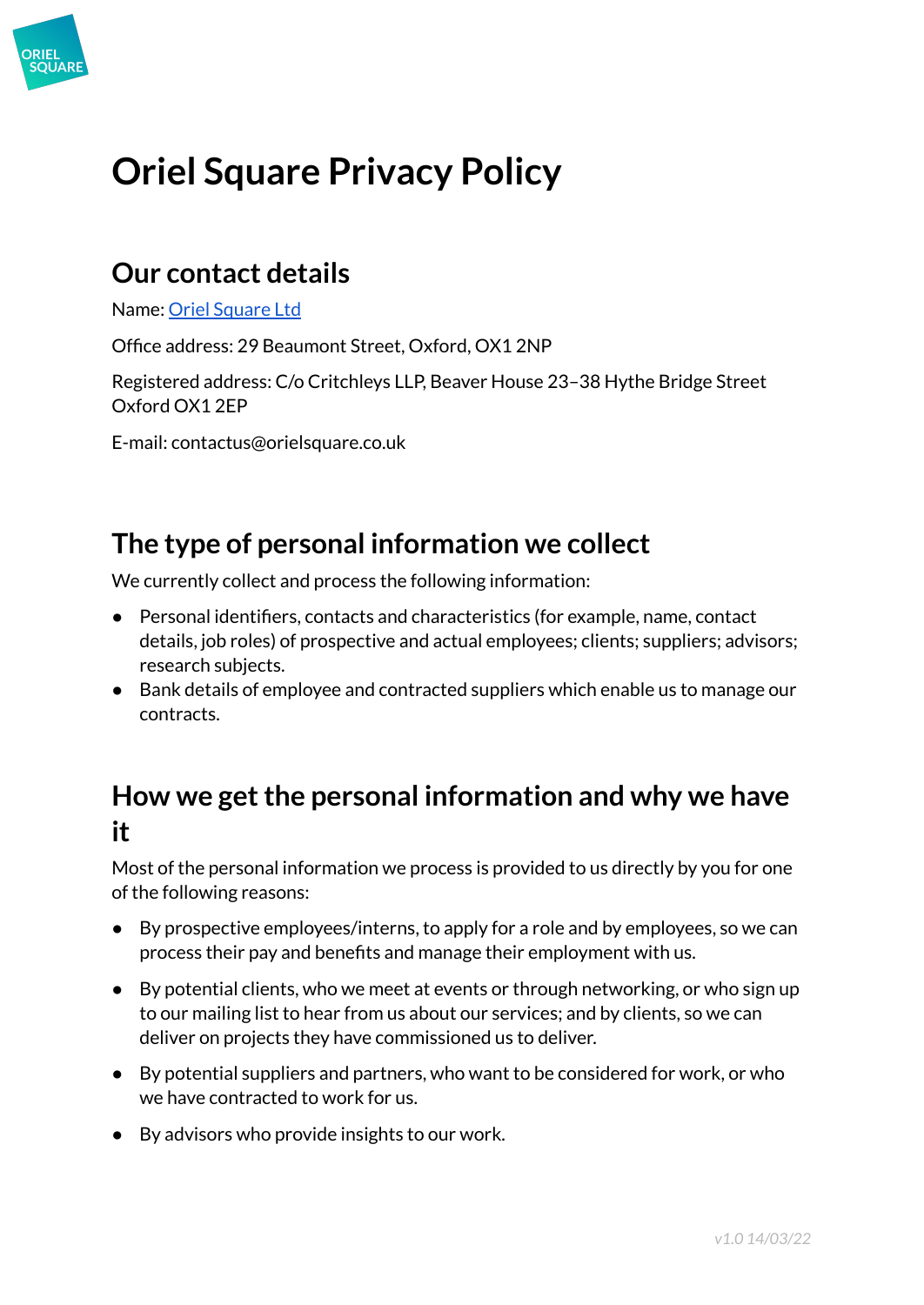

# **Oriel Square Privacy Policy**

### **Our contact details**

Name: Oriel [Square](https://www.orielsquare.co.uk/) Ltd

Office address: 29 Beaumont Street, Oxford, OX1 2NP

Registered address: C/o Critchleys LLP, Beaver House 23–38 Hythe Bridge Street Oxford OX1 2EP

E-mail: contactus@orielsquare.co.uk

### **The type of personal information we collect**

We currently collect and process the following information:

- Personal identifiers, contacts and characteristics (for example, name, contact details, job roles) of prospective and actual employees; clients; suppliers; advisors; research subjects.
- Bank details of employee and contracted suppliers which enable us to manage our contracts.

### **How we getthe personal information and why we have it**

Most of the personal information we process is provided to us directly by you for one of the following reasons:

- By prospective employees/interns, to apply for a role and by employees, so we can process their pay and benefits and manage their employment with us.
- By potential clients, who we meet at events or through networking, or who sign up to our mailing list to hear from us about our services; and by clients, so we can deliver on projects they have commissioned us to deliver.
- By potential suppliers and partners, who want to be considered for work, or who we have contracted to work for us.
- By advisors who provide insights to our work.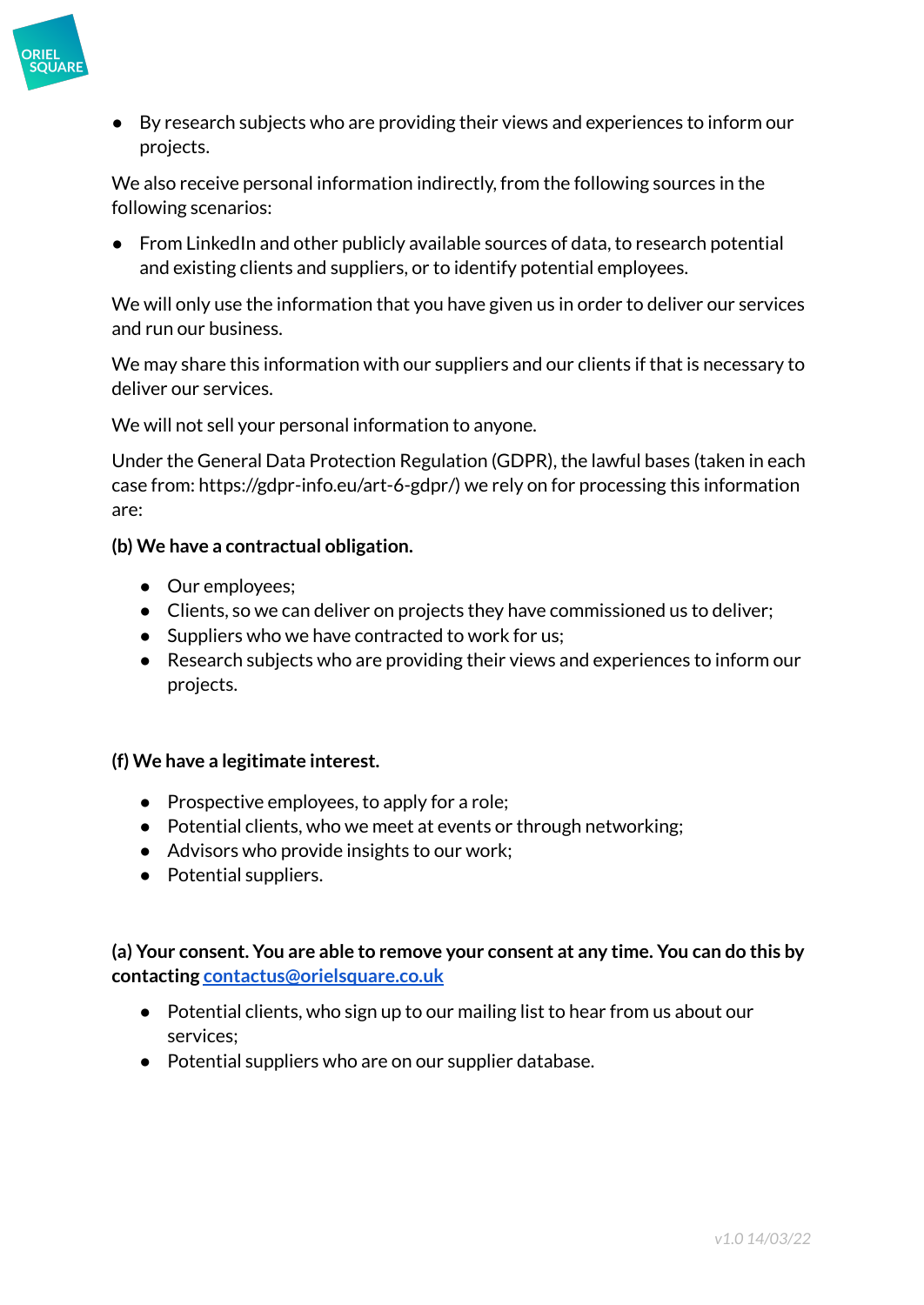

● By research subjects who are providing their views and experiences to inform our projects.

We also receive personal information indirectly, from the following sources in the following scenarios:

● From LinkedIn and other publicly available sources of data, to research potential and existing clients and suppliers, or to identify potential employees.

We will only use the information that you have given us in order to deliver our services and run our business.

We may share this information with our suppliers and our clients if that is necessary to deliver our services.

We will not sell your personal information to anyone.

Under the General Data Protection Regulation (GDPR), the lawful bases (taken in each case from: https://gdpr-info.eu/art-6-gdpr/) we rely on for processing this information are:

#### **(b) We have a contractual obligation.**

- Our employees;
- Clients, so we can deliver on projects they have commissioned us to deliver;
- Suppliers who we have contracted to work for us;
- Research subjects who are providing their views and experiences to inform our projects.

#### **(f) We have a legitimate interest.**

- Prospective employees, to apply for a role;
- Potential clients, who we meet at events or through networking;
- Advisors who provide insights to our work;
- Potential suppliers.

**(a) Your consent. You are able to remove your consent at any time. You can do this by contacting [contactus@orielsquare.co.uk](mailto:contactus@orielsquare.co.uk)**

- Potential clients, who sign up to our mailing list to hear from us about our services;
- Potential suppliers who are on our supplier database.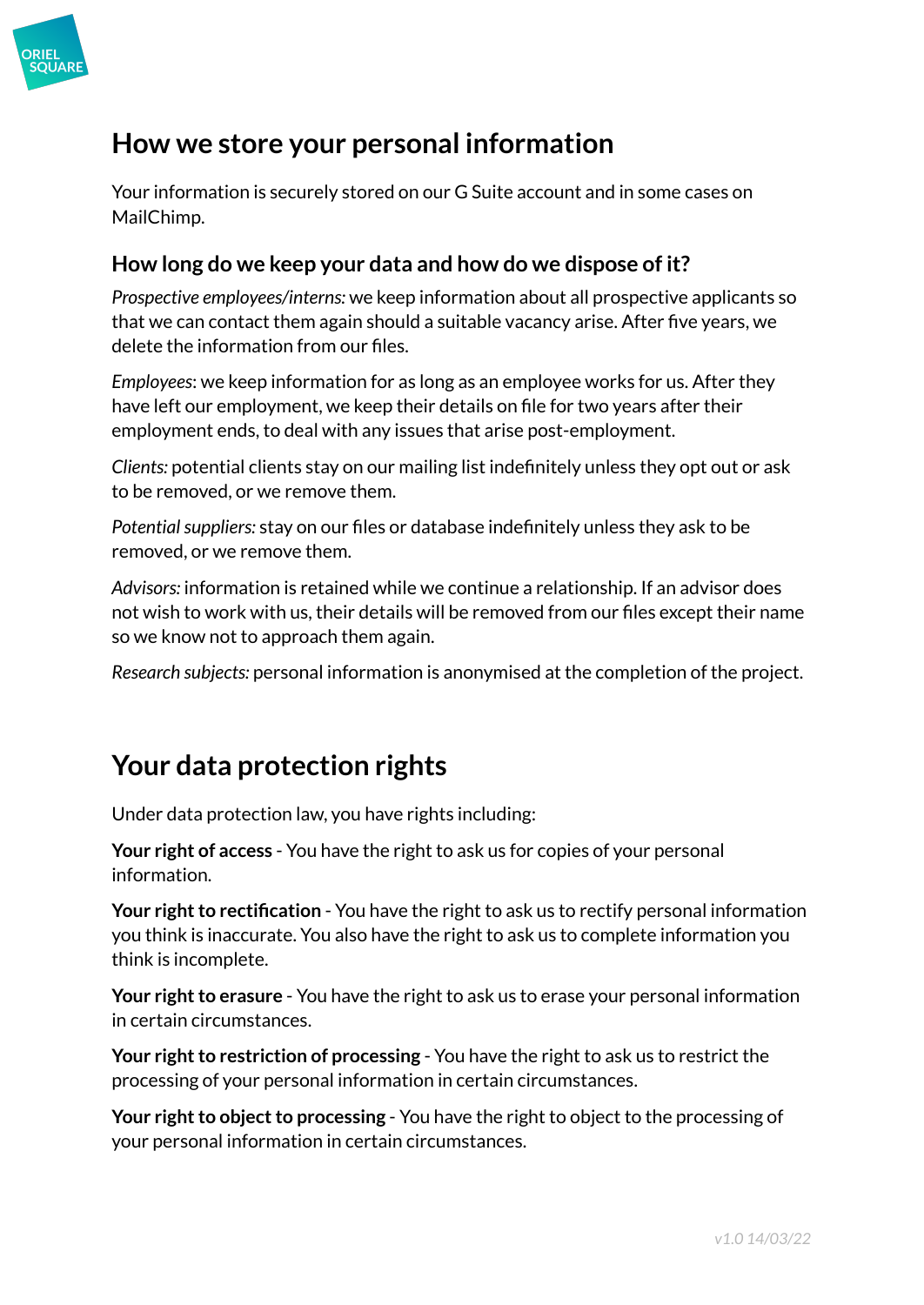

### **How we store your personal information**

Your information is securely stored on our G Suite account and in some cases on MailChimp.

#### **How long do we keep your data and how do we dispose of it?**

*Prospective employees/interns:* we keep information about all prospective applicants so that we can contact them again should a suitable vacancy arise. After five years, we delete the information from our files.

*Employees*: we keep information for as long as an employee works for us. After they have left our employment, we keep their details on file for two years after their employment ends, to deal with any issues that arise post-employment.

*Clients:* potential clients stay on our mailing list indefinitely unless they opt out or ask to be removed, or we remove them.

Potential suppliers: stay on our files or database indefinitely unless they ask to be removed, or we remove them.

*Advisors:* information is retained while we continue a relationship. If an advisor does not wish to work with us, their details will be removed from our files except their name so we know not to approach them again.

*Research subjects:* personal information is anonymised at the completion of the project.

## **Your data protection rights**

Under data protection law, you have rights including:

**Your right of access** - You have the right to ask us for copies of your personal information.

**Your right to rectification** - You have the right to ask us to rectify personal information you think is inaccurate. You also have the right to ask us to complete information you think is incomplete.

**Your right to erasure** - You have the right to ask us to erase your personal information in certain circumstances.

**Your right to restriction of processing** - You have the right to ask us to restrict the processing of your personal information in certain circumstances.

**Your right to object to processing** - You have the right to object to the processing of your personal information in certain circumstances.